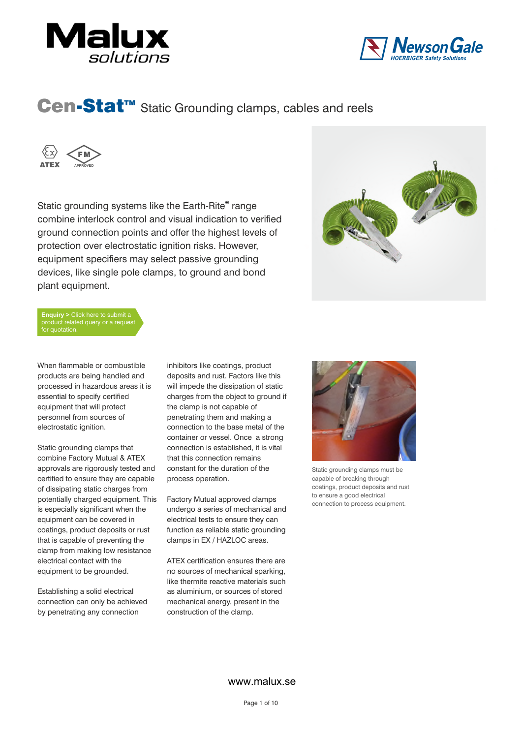





Static grounding systems like the Earth-Rite® range combine interlock control and visual indication to verified ground connection points and offer the highest levels of protection over electrostatic ignition risks. However, equipment specifiers may select passive grounding devices, like single pole clamps, to ground and bond plant equipment.



**Enquiry >** Click here to submit a product related query or a reque .<br>for quotation.

When flammable or combustible products are being handled and processed in hazardous areas it is essential to specify certified equipment that will protect personnel from sources of electrostatic ignition.

Static grounding clamps that combine Factory Mutual & ATEX approvals are rigorously tested and certified to ensure they are capable of dissipating static charges from potentially charged equipment. This is especially significant when the equipment can be covered in coatings, product deposits or rust that is capable of preventing the clamp from making low resistance electrical contact with the equipment to be grounded.

Establishing a solid electrical connection can only be achieved by penetrating any connection

inhibitors like coatings, product deposits and rust. Factors like this will impede the dissipation of static charges from the object to ground if the clamp is not capable of penetrating them and making a connection to the base metal of the container or vessel. Once a strong connection is established, it is vital that this connection remains constant for the duration of the process operation.

Factory Mutual approved clamps undergo a series of mechanical and electrical tests to ensure they can function as reliable static grounding clamps in EX / HAZLOC areas.

ATEX certification ensures there are no sources of mechanical sparking, like thermite reactive materials such as aluminium, or sources of stored mechanical energy, present in the construction of the clamp.



Static grounding clamps must be capable of breaking through coatings, product deposits and rust to ensure a good electrical connection to process equipment.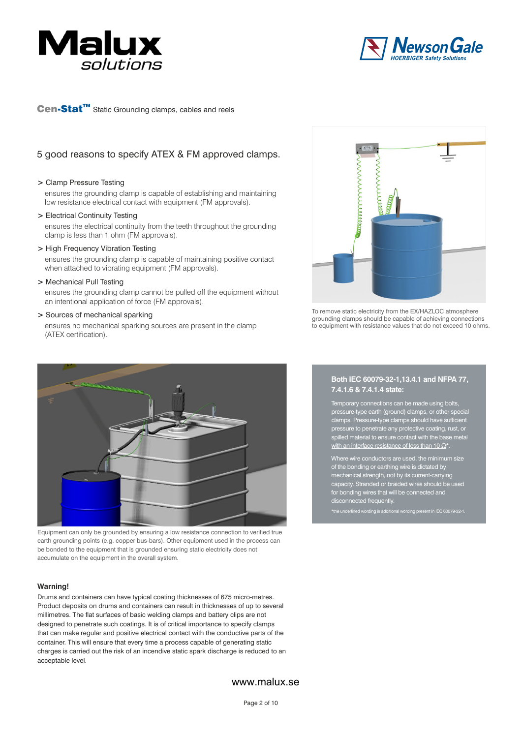



# 5 good reasons to specify ATEX & FM approved clamps.

#### **>** Clamp Pressure Testing

ensures the grounding clamp is capable of establishing and maintaining low resistance electrical contact with equipment (FM approvals).

#### **>** Electrical Continuity Testing

ensures the electrical continuity from the teeth throughout the grounding clamp is less than 1 ohm (FM approvals).

**>** High Frequency Vibration Testing

ensures the grounding clamp is capable of maintaining positive contact when attached to vibrating equipment (FM approvals).

**>** Mechanical Pull Testing

ensures the grounding clamp cannot be pulled off the equipment without an intentional application of force (FM approvals).

#### **>** Sources of mechanical sparking

ensures no mechanical sparking sources are present in the clamp (ATEX certification).



To remove static electricity from the EX/HAZLOC atmosphere grounding clamps should be capable of achieving connections to equipment with resistance values that do not exceed 10 ohms.



Equipment can only be grounded by ensuring a low resistance connection to verified true earth grounding points (e.g. copper bus-bars). Other equipment used in the process can be bonded to the equipment that is grounded ensuring static electricity does not accumulate on the equipment in the overall system.

#### **Warning!**

Drums and containers can have typical coating thicknesses of 675 micro-metres. Product deposits on drums and containers can result in thicknesses of up to several millimetres. The flat surfaces of basic welding clamps and battery clips are not designed to penetrate such coatings. It is of critical importance to specify clamps that can make regular and positive electrical contact with the conductive parts of the container. This will ensure that every time a process capable of generating static charges is carried out the risk of an incendive static spark discharge is reduced to an acceptable level.

#### **Both IEC 60079-32-1,13.4.1 and NFPA 77, 7.4.1.6 & 7.4.1.4 state:**

Temporary connections can be made using bolts, pressure-type earth (ground) clamps, or other special clamps. Pressure-type clamps should have sufficient pressure to penetrate any protective coating, rust, or spilled material to ensure contact with the base metal with an interface resistance of less than 10  $\Omega^*$ .

Where wire conductors are used, the minimum size of the bonding or earthing wire is dictated by mechanical strength, not by its current-carrying capacity. Stranded or braided wires should be used for bonding wires that will be connected and disconnected frequently.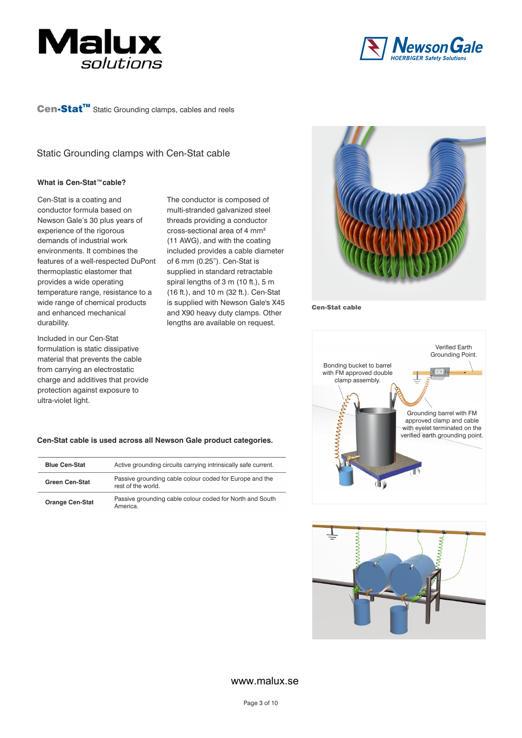



Static Grounding clamps with Cen-Stat cable

#### **What is Cen-Stat™cable?**

Cen-Stat is a coating and conductor formula based on Newson Gale's 30 plus years of experience of the rigorous demands of industrial work environments. It combines the features of a well-respected DuPont thermoplastic elastomer that provides a wide operating temperature range, resistance to a wide range of chemical products and enhanced mechanical durability.

Included in our Cen-Stat formulation is static dissipative material that prevents the cable from carrying an electrostatic charge and additives that provide protection against exposure to ultra-violet light.

The conductor is composed of multi-stranded galvanized steel threads providing a conductor cross-sectional area of 4 mm² (11 AWG), and with the coating included provides a cable diameter of 6 mm (0.25"). Cen-Stat is supplied in standard retractable spiral lengths of 3 m (10 ft.), 5 m (16 ft.), and 10 m (32 ft.). Cen-Stat is supplied with Newson Gale's X45 and X90 heavy duty clamps. Other lengths are available on request.



Cen-Stat cable





#### **Cen-Stat cable is used across all Newson Gale product categories.**

| <b>Blue Cen-Stat</b>   | Active grounding circuits carrying intrinsically safe current.                |
|------------------------|-------------------------------------------------------------------------------|
| <b>Green Cen-Stat</b>  | Passive grounding cable colour coded for Europe and the<br>rest of the world. |
| <b>Orange Cen-Stat</b> | Passive grounding cable colour coded for North and South<br>America.          |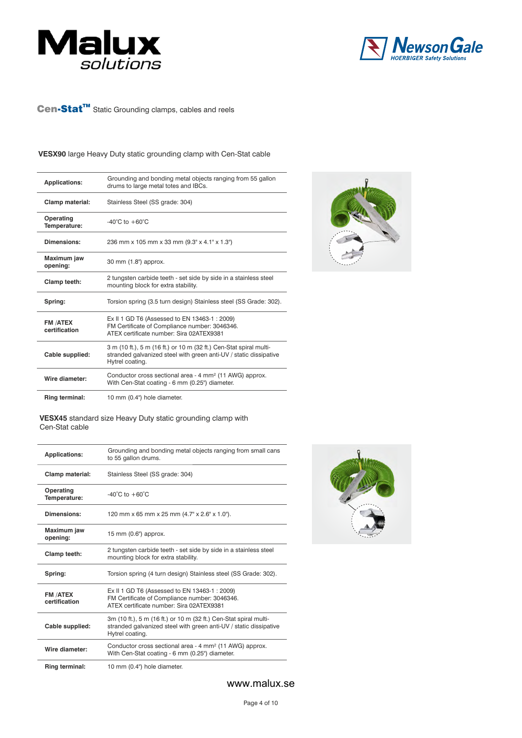



### **VESX90** large Heavy Duty static grounding clamp with Cen-Stat cable

| <b>Applications:</b>             | Grounding and bonding metal objects ranging from 55 gallon<br>drums to large metal totes and IBCs.                                                         |
|----------------------------------|------------------------------------------------------------------------------------------------------------------------------------------------------------|
| Clamp material:                  | Stainless Steel (SS grade: 304)                                                                                                                            |
| Operating<br>Temperature:        | $-40^{\circ}$ C to $+60^{\circ}$ C                                                                                                                         |
| Dimensions:                      | 236 mm x 105 mm x 33 mm (9.3" x 4.1" x 1.3")                                                                                                               |
| Maximum jaw<br>opening:          | 30 mm (1.8") approx.                                                                                                                                       |
| Clamp teeth:                     | 2 tungsten carbide teeth - set side by side in a stainless steel<br>mounting block for extra stability.                                                    |
| Spring:                          | Torsion spring (3.5 turn design) Stainless steel (SS Grade: 302).                                                                                          |
| <b>FM /ATEX</b><br>certification | Ex II 1 GD T6 (Assessed to EN 13463-1 : 2009)<br>FM Certificate of Compliance number: 3046346.<br>ATFX certificate number: Sira 02ATFX9381                 |
| Cable supplied:                  | 3 m (10 ft.), 5 m (16 ft.) or 10 m (32 ft.) Cen-Stat spiral multi-<br>stranded galvanized steel with green anti-UV / static dissipative<br>Hytrel coating. |
| Wire diameter:                   | Conductor cross sectional area - 4 mm <sup>2</sup> (11 AWG) approx.<br>With Cen-Stat coating - 6 mm (0.25") diameter.                                      |
| Ring terminal:                   | 10 mm (0.4") hole diameter.                                                                                                                                |



**VESX45** standard size Heavy Duty static grounding clamp with Cen-Stat cable

| <b>Applications:</b>             | Grounding and bonding metal objects ranging from small cans<br>to 55 gallon drums.                                                                        |  |
|----------------------------------|-----------------------------------------------------------------------------------------------------------------------------------------------------------|--|
| Clamp material:                  | Stainless Steel (SS grade: 304)                                                                                                                           |  |
| Operating<br>Temperature:        | -40 $^{\circ}$ C to +60 $^{\circ}$ C                                                                                                                      |  |
| Dimensions:                      | 120 mm x 65 mm x 25 mm (4.7" x 2.6" x 1.0").                                                                                                              |  |
| Maximum jaw<br>opening:          | 15 mm (0.6") approx.                                                                                                                                      |  |
| Clamp teeth:                     | 2 tungsten carbide teeth - set side by side in a stainless steel<br>mounting block for extra stability.                                                   |  |
| Spring:                          | Torsion spring (4 turn design) Stainless steel (SS Grade: 302).                                                                                           |  |
| <b>FM /ATEX</b><br>certification | Ex II 1 GD T6 (Assessed to EN 13463-1 : 2009)<br>FM Certificate of Compliance number: 3046346.<br>ATEX certificate number: Sira 02ATEX9381                |  |
| Cable supplied:                  | 3m (10 ft.), 5 m (16 ft.) or 10 m (32 ft.) Cen-Stat spiral multi-<br>stranded galvanized steel with green anti-UV / static dissipative<br>Hytrel coating. |  |
| Wire diameter:                   | Conductor cross sectional area - 4 mm <sup>2</sup> (11 AWG) approx.<br>With Cen-Stat coating - 6 mm (0.25") diameter.                                     |  |
| Ring terminal:                   | 10 mm (0.4") hole diameter.                                                                                                                               |  |

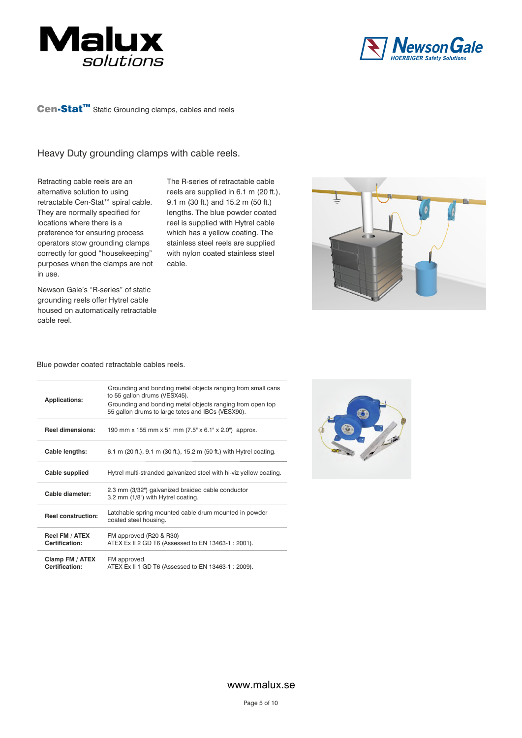



# Heavy Duty grounding clamps with cable reels.

Retracting cable reels are an alternative solution to using retractable Cen-Stat™ spiral cable. They are normally specified for locations where there is a preference for ensuring process operators stow grounding clamps correctly for good "housekeeping" purposes when the clamps are not in use.

The R-series of retractable cable reels are supplied in 6.1 m (20 ft.), 9.1 m (30 ft.) and 15.2 m (50 ft.) lengths. The blue powder coated reel is supplied with Hytrel cable which has a yellow coating. The stainless steel reels are supplied with nylon coated stainless steel cable.



Newson Gale's "R-series" of static grounding reels offer Hytrel cable housed on automatically retractable cable reel.

#### Blue powder coated retractable cables reels.

| <b>Applications:</b>              | Grounding and bonding metal objects ranging from small cans<br>to 55 gallon drums (VESX45).<br>Grounding and bonding metal objects ranging from open top<br>55 gallon drums to large totes and IBCs (VESX90). |  |
|-----------------------------------|---------------------------------------------------------------------------------------------------------------------------------------------------------------------------------------------------------------|--|
| <b>Reel dimensions:</b>           | 190 mm x 155 mm x 51 mm (7.5" x 6.1" x 2.0") approx.                                                                                                                                                          |  |
| Cable lengths:                    | 6.1 m (20 ft.), 9.1 m (30 ft.), 15.2 m (50 ft.) with Hytrel coating.                                                                                                                                          |  |
| Cable supplied                    | Hytrel multi-stranded galvanized steel with hi-viz yellow coating.                                                                                                                                            |  |
| Cable diameter:                   | 2.3 mm (3/32") galvanized braided cable conductor<br>3.2 mm (1/8") with Hytrel coating.                                                                                                                       |  |
| <b>Reel construction:</b>         | Latchable spring mounted cable drum mounted in powder<br>coated steel housing.                                                                                                                                |  |
| Reel FM / ATEX<br>Certification:  | FM approved (R20 & R30)<br>ATEX Ex II 2 GD T6 (Assessed to EN 13463-1 : 2001).                                                                                                                                |  |
| Clamp FM / ATEX<br>Certification: | FM approved.<br>ATEX Ex II 1 GD T6 (Assessed to EN 13463-1 : 2009).                                                                                                                                           |  |

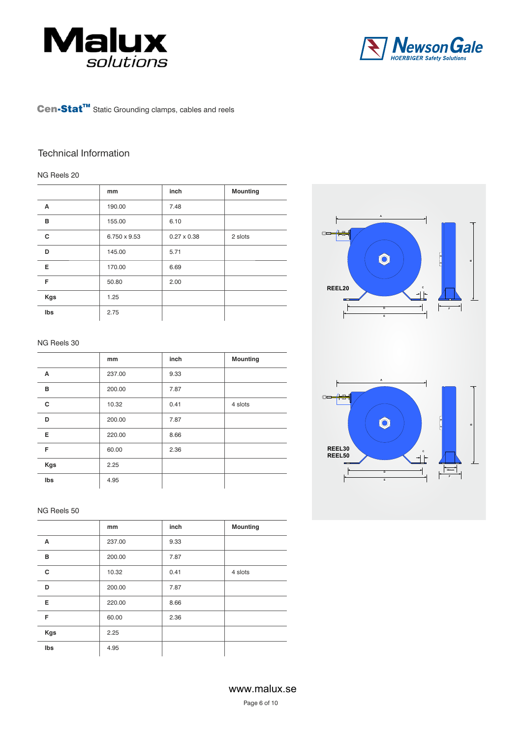



# Technical Information

#### NG Reels 20

|     | mm           | inch               | <b>Mounting</b> |
|-----|--------------|--------------------|-----------------|
| A   | 190.00       | 7.48               |                 |
| B   | 155.00       | 6.10               |                 |
| c   | 6.750 x 9.53 | $0.27 \times 0.38$ | 2 slots         |
| D   | 145.00       | 5.71               |                 |
| Е   | 170.00       | 6.69               |                 |
| F   | 50.80        | 2.00               |                 |
| Kgs | 1.25         |                    |                 |
| Ibs | 2.75         |                    |                 |

#### NG Reels 30

|            | mm     | inch | <b>Mounting</b> |
|------------|--------|------|-----------------|
| A          | 237.00 | 9.33 |                 |
| в          | 200.00 | 7.87 |                 |
| C          | 10.32  | 0.41 | 4 slots         |
| D          | 200.00 | 7.87 |                 |
| Е          | 220.00 | 8.66 |                 |
| F          | 60.00  | 2.36 |                 |
| <b>Kgs</b> | 2.25   |      |                 |
| Ibs        | 4.95   |      |                 |

#### NG Reels 50

|            | mm     | inch | <b>Mounting</b> |
|------------|--------|------|-----------------|
| A          | 237.00 | 9.33 |                 |
| в          | 200.00 | 7.87 |                 |
| C          | 10.32  | 0.41 | 4 slots         |
| D          | 200.00 | 7.87 |                 |
| E          | 220.00 | 8.66 |                 |
| F          | 60.00  | 2.36 |                 |
| <b>Kgs</b> | 2.25   |      |                 |
| Ibs        | 4.95   |      |                 |

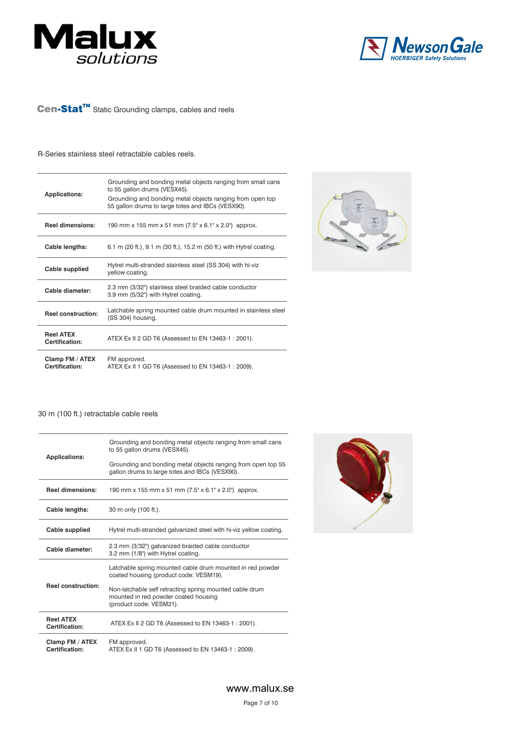



#### R-Series stainless steel retractable cables reels.

| Grounding and bonding metal objects ranging from small cans<br>to 55 gallon drums (VESX45).<br><b>Applications:</b><br>Grounding and bonding metal objects ranging from open top<br>55 gallon drums to large totes and IBCs (VESX90). |                                                                                               |
|---------------------------------------------------------------------------------------------------------------------------------------------------------------------------------------------------------------------------------------|-----------------------------------------------------------------------------------------------|
| <b>Reel dimensions:</b>                                                                                                                                                                                                               | 190 mm x 155 mm x 51 mm (7.5" x 6.1" x 2.0") approx.                                          |
| Cable lengths:                                                                                                                                                                                                                        | 6.1 m (20 ft.), 9.1 m (30 ft.), 15.2 m (50 ft.) with Hytrel coating.                          |
| Cable supplied                                                                                                                                                                                                                        | Hytrel multi-stranded stainless steel (SS 304) with hi-viz<br>yellow coating.                 |
| Cable diameter:                                                                                                                                                                                                                       | 2.3 mm (3/32") stainless steel braided cable conductor<br>3.9 mm (5/32") with Hytrel coating. |
| <b>Reel construction:</b>                                                                                                                                                                                                             | Latchable spring mounted cable drum mounted in stainless steel<br>(SS 304) housing.           |
| <b>Reel ATEX</b><br>Certification:                                                                                                                                                                                                    | ATEX Ex II 2 GD T6 (Assessed to EN 13463-1 : 2001).                                           |
| Clamp FM / ATEX<br>Certification:                                                                                                                                                                                                     | FM approved.<br>ATEX Ex II 1 GD T6 (Assessed to EN 13463-1 : 2009).                           |



#### 30 m (100 ft.) retractable cable reels

| <b>Applications:</b>               | Grounding and bonding metal objects ranging from small cans<br>to 55 gallon drums (VESX45).                                |  |
|------------------------------------|----------------------------------------------------------------------------------------------------------------------------|--|
|                                    | Grounding and bonding metal objects ranging from open top 55<br>gallon drums to large totes and IBCs (VESX90).             |  |
| <b>Reel dimensions:</b>            | 190 mm x 155 mm x 51 mm (7.5" x 6.1" x 2.0") approx.                                                                       |  |
| Cable lengths:                     | 30 m only (100 ft.).                                                                                                       |  |
| Cable supplied                     | Hytrel multi-stranded galvanized steel with hi-viz yellow coating.                                                         |  |
| Cable diameter:                    | 2.3 mm (3/32") galvanized braided cable conductor<br>3.2 mm (1/8") with Hytrel coating.                                    |  |
| <b>Reel construction:</b>          | Latchable spring mounted cable drum mounted in red powder<br>coated housing (product code: VESM19).                        |  |
|                                    | Non-latchable self retracting spring mounted cable drum<br>mounted in red powder coated housing<br>(product code: VESM21). |  |
| <b>Reel ATEX</b><br>Certification: | ATEX Ex II 2 GD T6 (Assessed to EN 13463-1: 2001).                                                                         |  |
| Clamp FM / ATEX<br>Certification:  | FM approved.<br>ATEX Ex II 1 GD T6 (Assessed to EN 13463-1: 2009).                                                         |  |

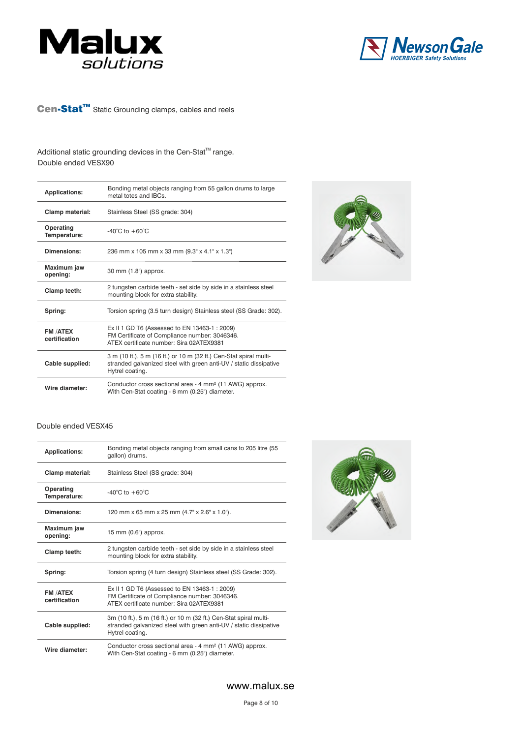



# Additional static grounding devices in the Cen-Stat<sup>™</sup> range. Double ended VESX90

| <b>Applications:</b>             | Bonding metal objects ranging from 55 gallon drums to large<br>metal totes and IBCs.                                                                       |
|----------------------------------|------------------------------------------------------------------------------------------------------------------------------------------------------------|
| Clamp material:                  | Stainless Steel (SS grade: 304)                                                                                                                            |
| Operating<br>Temperature:        | $-40^{\circ}$ C to $+60^{\circ}$ C                                                                                                                         |
| Dimensions:                      | 236 mm x 105 mm x 33 mm (9.3" x 4.1" x 1.3")                                                                                                               |
| Maximum jaw<br>opening:          | 30 mm (1.8") approx.                                                                                                                                       |
| Clamp teeth:                     | 2 tungsten carbide teeth - set side by side in a stainless steel<br>mounting block for extra stability.                                                    |
| Spring:                          | Torsion spring (3.5 turn design) Stainless steel (SS Grade: 302).                                                                                          |
| <b>FM /ATEX</b><br>certification | Ex II 1 GD T6 (Assessed to EN 13463-1: 2009)<br>FM Certificate of Compliance number: 3046346.<br>ATFX certificate number: Sira 02ATFX9381                  |
| Cable supplied:                  | 3 m (10 ft.), 5 m (16 ft.) or 10 m (32 ft.) Cen-Stat spiral multi-<br>stranded galvanized steel with green anti-UV / static dissipative<br>Hytrel coating. |
| Wire diameter:                   | Conductor cross sectional area - 4 mm <sup>2</sup> (11 AWG) approx.<br>With Cen-Stat coating - 6 mm (0.25") diameter.                                      |



#### Double ended VESX45

| <b>Applications:</b>            | Bonding metal objects ranging from small cans to 205 litre (55<br>gallon) drums.                                                                          |  |
|---------------------------------|-----------------------------------------------------------------------------------------------------------------------------------------------------------|--|
| Clamp material:                 | Stainless Steel (SS grade: 304)                                                                                                                           |  |
| Operating<br>Temperature:       | $-40^{\circ}$ C to $+60^{\circ}$ C                                                                                                                        |  |
| Dimensions:                     | 120 mm x 65 mm x 25 mm (4.7" x 2.6" x 1.0").                                                                                                              |  |
| Maximum jaw<br>opening:         | 15 mm (0.6") approx.                                                                                                                                      |  |
| Clamp teeth:                    | 2 tungsten carbide teeth - set side by side in a stainless steel<br>mounting block for extra stability.                                                   |  |
| Spring:                         | Torsion spring (4 turn design) Stainless steel (SS Grade: 302).                                                                                           |  |
| <b>FM/ATEX</b><br>certification | Ex II 1 GD T6 (Assessed to EN 13463-1 : 2009)<br>FM Certificate of Compliance number: 3046346.<br>ATFX certificate number: Sira 02ATFX9381                |  |
| Cable supplied:                 | 3m (10 ft.), 5 m (16 ft.) or 10 m (32 ft.) Cen-Stat spiral multi-<br>stranded galvanized steel with green anti-UV / static dissipative<br>Hytrel coating. |  |
| Wire diameter:                  | Conductor cross sectional area - 4 mm <sup>2</sup> (11 AWG) approx.<br>With Cen-Stat coating - 6 mm (0.25") diameter.                                     |  |

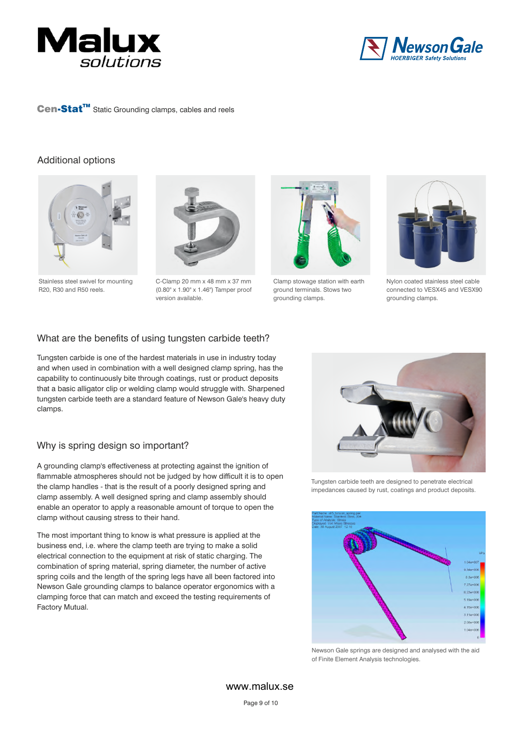



### Additional options



Stainless steel swivel for mounting R20, R30 and R50 reels.



C-Clamp 20 mm x 48 mm x 37 mm (0.80" x 1.90" x 1.46") Tamper proof version available.



Clamp stowage station with earth ground terminals. Stows two grounding clamps.



Nylon coated stainless steel cable connected to VESX45 and VESX90 grounding clamps.

## What are the benefits of using tungsten carbide teeth?

Tungsten carbide is one of the hardest materials in use in industry today and when used in combination with a well designed clamp spring, has the capability to continuously bite through coatings, rust or product deposits that a basic alligator clip or welding clamp would struggle with. Sharpened tungsten carbide teeth are a standard feature of Newson Gale's heavy duty clamps.

## Why is spring design so important?

A grounding clamp's effectiveness at protecting against the ignition of flammable atmospheres should not be judged by how difficult it is to open the clamp handles - that is the result of a poorly designed spring and clamp assembly. A well designed spring and clamp assembly should enable an operator to apply a reasonable amount of torque to open the clamp without causing stress to their hand.

The most important thing to know is what pressure is applied at the business end, i.e. where the clamp teeth are trying to make a solid electrical connection to the equipment at risk of static charging. The combination of spring material, spring diameter, the number of active spring coils and the length of the spring legs have all been factored into Newson Gale grounding clamps to balance operator ergonomics with a clamping force that can match and exceed the testing requirements of Factory Mutual.



Tungsten carbide teeth are designed to penetrate electrical impedances caused by rust, coatings and product deposits.



Newson Gale springs are designed and analysed with the aid of Finite Element Analysis technologies.

www.malux.se

Page 9 of 10